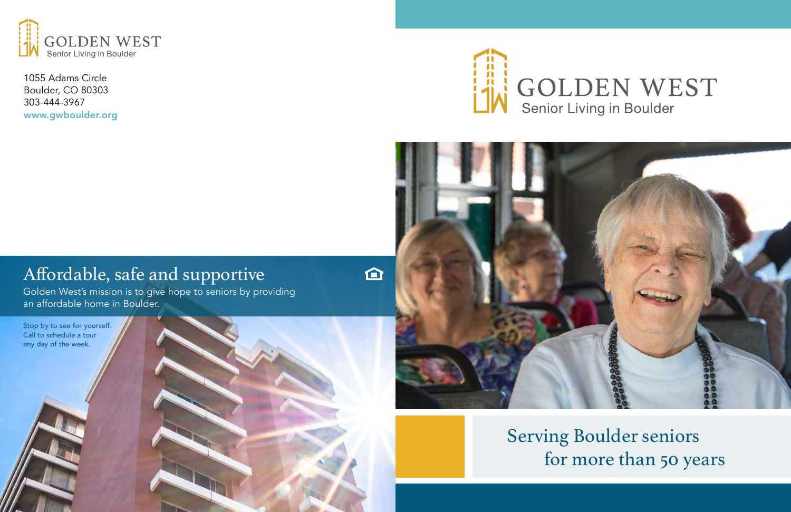

1055 Adams Circle Boulder, CO 80303 303-444-3967 www.gwboulder.org



# 企

# Affordable, safe and supportive

Golden West's mission is to give hope to seniors by providing an affordable home in Boulder.

# Serving Boulder seniors for more than 50 years





# GOLDEN WEST